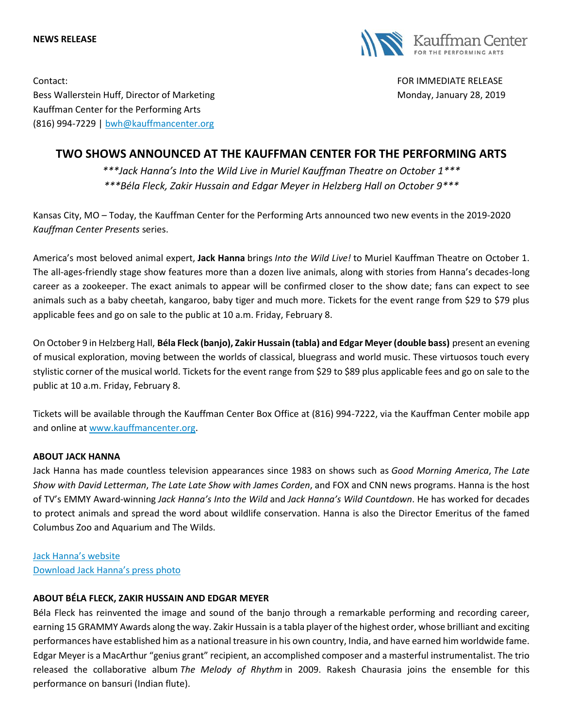



Contact: FOR IMMEDIATE RELEASE Bess Wallerstein Huff, Director of Marketing Monday, January 28, 2019 Kauffman Center for the Performing Arts (816) 994-7229 | [bwh@kauffmancenter.org](mailto:bwh@kauffmancenter.org)

# **TWO SHOWS ANNOUNCED AT THE KAUFFMAN CENTER FOR THE PERFORMING ARTS**

*\*\*\*Jack Hanna's Into the Wild Live in Muriel Kauffman Theatre on October 1\*\*\* \*\*\*Béla Fleck, Zakir Hussain and Edgar Meyer in Helzberg Hall on October 9\*\*\**

Kansas City, MO – Today, the Kauffman Center for the Performing Arts announced two new events in the 2019-2020 *Kauffman Center Presents* series.

America's most beloved animal expert, **Jack Hanna** brings *Into the Wild Live!* to Muriel Kauffman Theatre on October 1. The all-ages-friendly stage show features more than a dozen live animals, along with stories from Hanna's decades-long career as a zookeeper. The exact animals to appear will be confirmed closer to the show date; fans can expect to see animals such as a baby cheetah, kangaroo, baby tiger and much more. Tickets for the event range from \$29 to \$79 plus applicable fees and go on sale to the public at 10 a.m. Friday, February 8.

On October 9 in Helzberg Hall, **Béla Fleck (banjo), Zakir Hussain (tabla) and Edgar Meyer (double bass)** present an evening of musical exploration, moving between the worlds of classical, bluegrass and world music. These virtuosos touch every stylistic corner of the musical world. Tickets for the event range from \$29 to \$89 plus applicable fees and go on sale to the public at 10 a.m. Friday, February 8.

Tickets will be available through the Kauffman Center Box Office at (816) 994-7222, via the Kauffman Center mobile app and online at [www.kauffmancenter.org.](http://www.kauffmancenter.org/)

### **ABOUT JACK HANNA**

Jack Hanna has made countless television appearances since 1983 on shows such as *Good Morning America*, *The Late Show with David Letterman*, *The Late Late Show with James Corden*, and FOX and CNN news programs. Hanna is the host of TV's EMMY Award-winning *Jack Hanna's Into the Wild* and *Jack Hanna's Wild Countdown*. He has worked for decades to protect animals and spread the word about wildlife conservation. Hanna is also the Director Emeritus of the famed Columbus Zoo and Aquarium and The Wilds.

[Jack Hanna's website](https://www.jackhanna.com/) [Download Jack Hanna's press photo](https://www.flickr.com/photos/kauffmancenter/46068518754/in/album-72157705313563424/)

## **ABOUT BÉLA FLECK, ZAKIR HUSSAIN AND EDGAR MEYER**

Béla Fleck has reinvented the image and sound of the banjo through a remarkable performing and recording career, earning 15 GRAMMY Awards along the way. Zakir Hussain is a tabla player of the highest order, whose brilliant and exciting performances have established him as a national treasure in his own country, India, and have earned him worldwide fame. Edgar Meyer is a MacArthur "genius grant" recipient, an accomplished composer and a masterful instrumentalist. The trio released the collaborative album *The Melody of Rhythm* in 2009. Rakesh Chaurasia joins the ensemble for this performance on bansuri (Indian flute).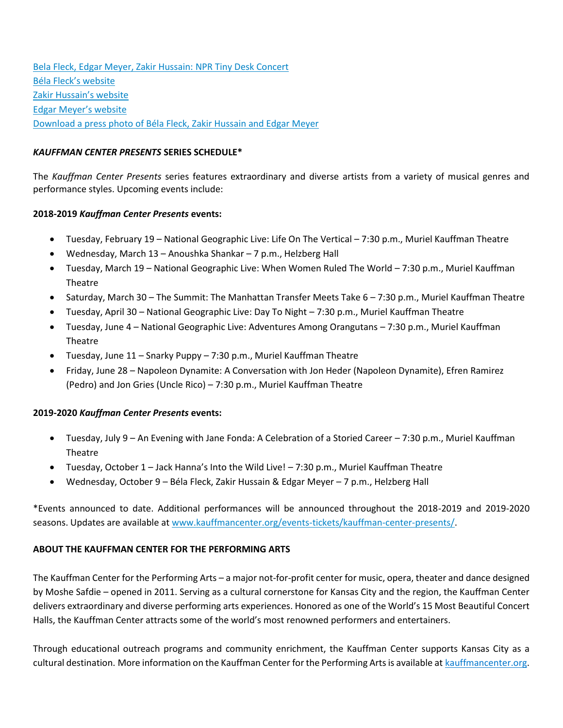[Bela Fleck, Edgar Meyer, Zakir Hussain: NPR Tiny Desk Concert](https://www.npr.org/2010/07/26/128652297/bela-fleck-edgar-meyer-zakir-hussain-tiny-desk-concert) Bé[la Fleck's website](https://www.belafleck.com/) [Zakir Hussain's website](http://www.zakirhussain.com/) [Edgar Meyer's website](https://edgarmeyer.com/) [Download a press photo of Béla Fleck, Zakir Hussain and Edgar Meyer](https://www.flickr.com/photos/kauffmancenter/45878312615/in/album-72157705313563424/)

## *KAUFFMAN CENTER PRESENTS* **SERIES SCHEDULE\***

The *Kauffman Center Presents* series features extraordinary and diverse artists from a variety of musical genres and performance styles. Upcoming events include:

## **2018-2019** *Kauffman Center Presents* **events:**

- Tuesday, February 19 National Geographic Live: Life On The Vertical 7:30 p.m., Muriel Kauffman Theatre
- Wednesday, March 13 Anoushka Shankar 7 p.m., Helzberg Hall
- Tuesday, March 19 National Geographic Live: When Women Ruled The World 7:30 p.m., Muriel Kauffman Theatre
- Saturday, March 30 The Summit: The Manhattan Transfer Meets Take 6 7:30 p.m., Muriel Kauffman Theatre
- Tuesday, April 30 National Geographic Live: Day To Night 7:30 p.m., Muriel Kauffman Theatre
- Tuesday, June 4 National Geographic Live: Adventures Among Orangutans 7:30 p.m., Muriel Kauffman Theatre
- Tuesday, June 11 Snarky Puppy 7:30 p.m., Muriel Kauffman Theatre
- Friday, June 28 Napoleon Dynamite: A Conversation with Jon Heder (Napoleon Dynamite), Efren Ramirez (Pedro) and Jon Gries (Uncle Rico) – 7:30 p.m., Muriel Kauffman Theatre

### **2019-2020** *Kauffman Center Presents* **events:**

- Tuesday, July 9 An Evening with Jane Fonda: A Celebration of a Storied Career 7:30 p.m., Muriel Kauffman Theatre
- Tuesday, October 1 Jack Hanna's Into the Wild Live! 7:30 p.m., Muriel Kauffman Theatre
- Wednesday, October 9 Béla Fleck, Zakir Hussain & Edgar Meyer 7 p.m., Helzberg Hall

\*Events announced to date. Additional performances will be announced throughout the 2018-2019 and 2019-2020 seasons. Updates are available at [www.kauffmancenter.org/events-tickets/kauffman-center-presents/.](http://www.kauffmancenter.org/events-tickets/kauffman-center-presents/)

### **ABOUT THE KAUFFMAN CENTER FOR THE PERFORMING ARTS**

The Kauffman Center for the Performing Arts – a major not-for-profit center for music, opera, theater and dance designed by Moshe Safdie – opened in 2011. Serving as a cultural cornerstone for Kansas City and the region, the Kauffman Center delivers extraordinary and diverse performing arts experiences. Honored as one of the World's 15 Most Beautiful Concert Halls, the Kauffman Center attracts some of the world's most renowned performers and entertainers.

Through educational outreach programs and community enrichment, the Kauffman Center supports Kansas City as a cultural destination. More information on the Kauffman Center for the Performing Arts is available at [kauffmancenter.org.](http://tracking.wordfly.com/click?sid=MTc4XzQ3MjBfOTc3NjZfNjc5Mg&l=580a40e4-b522-e611-bb2d-e41f1345a46a&utm_source=wordfly&utm_medium=email&utm_campaign=Release%3AKoz%26Sanborn%2CKansas&utm_content=version_A&sourceNumber=&utm_source=wordfly&utm_medium=email&utm_campaign=Release%3ALampedusa%2CWinston%2CMarsalis&utm_content=version_A&sourceNumber=)